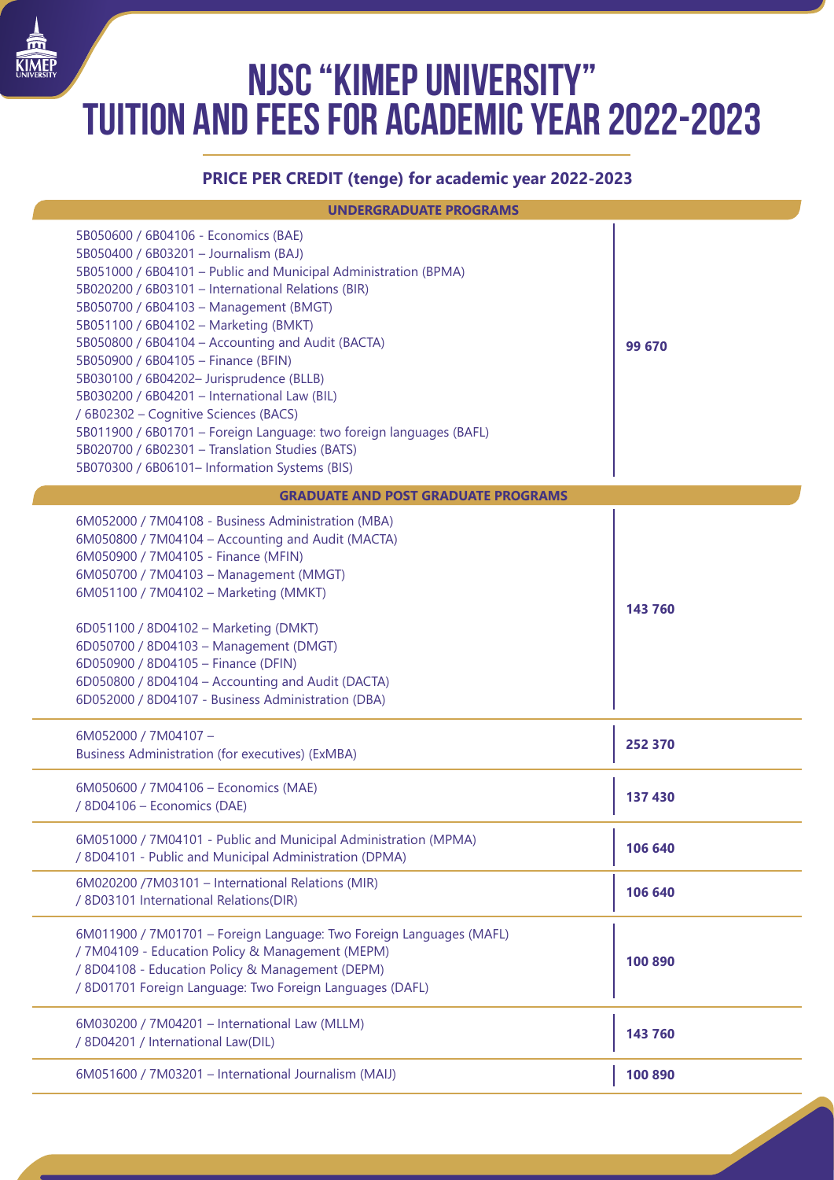## **NJSC "KIMEP University" tuition and fees for academic year 2022-2023**

## **PRICE PER CREDIT (tenge) for academic year 2022-2023**

ſ

| <b>UNDERGRADUATE PROGRAMS</b>                                                                                                                                                                                                                                                                                                                                                                                                                                                                                                                                                                                                                                                                         |         |  |
|-------------------------------------------------------------------------------------------------------------------------------------------------------------------------------------------------------------------------------------------------------------------------------------------------------------------------------------------------------------------------------------------------------------------------------------------------------------------------------------------------------------------------------------------------------------------------------------------------------------------------------------------------------------------------------------------------------|---------|--|
| 5B050600 / 6B04106 - Economics (BAE)<br>5B050400 / 6B03201 - Journalism (BAJ)<br>5B051000 / 6B04101 - Public and Municipal Administration (BPMA)<br>5B020200 / 6B03101 - International Relations (BIR)<br>5B050700 / 6B04103 - Management (BMGT)<br>5B051100 / 6B04102 - Marketing (BMKT)<br>5B050800 / 6B04104 - Accounting and Audit (BACTA)<br>5B050900 / 6B04105 - Finance (BFIN)<br>5B030100 / 6B04202- Jurisprudence (BLLB)<br>5B030200 / 6B04201 - International Law (BIL)<br>/ 6B02302 - Cognitive Sciences (BACS)<br>5B011900 / 6B01701 - Foreign Language: two foreign languages (BAFL)<br>5B020700 / 6B02301 - Translation Studies (BATS)<br>5B070300 / 6B06101- Information Systems (BIS) | 99 670  |  |
| <b>GRADUATE AND POST GRADUATE PROGRAMS</b>                                                                                                                                                                                                                                                                                                                                                                                                                                                                                                                                                                                                                                                            |         |  |
| 6M052000 / 7M04108 - Business Administration (MBA)<br>6M050800 / 7M04104 - Accounting and Audit (MACTA)<br>6M050900 / 7M04105 - Finance (MFIN)<br>6M050700 / 7M04103 - Management (MMGT)<br>6M051100 / 7M04102 - Marketing (MMKT)<br>6D051100 / 8D04102 - Marketing (DMKT)<br>6D050700 / 8D04103 - Management (DMGT)<br>6D050900 / 8D04105 - Finance (DFIN)<br>6D050800 / 8D04104 - Accounting and Audit (DACTA)<br>6D052000 / 8D04107 - Business Administration (DBA)                                                                                                                                                                                                                                | 143 760 |  |
| 6M052000 / 7M04107 -<br><b>Business Administration (for executives) (ExMBA)</b>                                                                                                                                                                                                                                                                                                                                                                                                                                                                                                                                                                                                                       | 252 370 |  |
| 6M050600 / 7M04106 - Economics (MAE)<br>/ 8D04106 - Economics (DAE)                                                                                                                                                                                                                                                                                                                                                                                                                                                                                                                                                                                                                                   | 137 430 |  |
| 6M051000 / 7M04101 - Public and Municipal Administration (MPMA)<br>/ 8D04101 - Public and Municipal Administration (DPMA)                                                                                                                                                                                                                                                                                                                                                                                                                                                                                                                                                                             | 106 640 |  |
| 6M020200 /7M03101 - International Relations (MIR)<br>/ 8D03101 International Relations(DIR)                                                                                                                                                                                                                                                                                                                                                                                                                                                                                                                                                                                                           | 106 640 |  |
| 6M011900 / 7M01701 - Foreign Language: Two Foreign Languages (MAFL)<br>/ 7M04109 - Education Policy & Management (MEPM)<br>/ 8D04108 - Education Policy & Management (DEPM)<br>/ 8D01701 Foreign Language: Two Foreign Languages (DAFL)                                                                                                                                                                                                                                                                                                                                                                                                                                                               | 100 890 |  |
| 6M030200 / 7M04201 - International Law (MLLM)<br>/ 8D04201 / International Law(DIL)                                                                                                                                                                                                                                                                                                                                                                                                                                                                                                                                                                                                                   | 143 760 |  |
| 6M051600 / 7M03201 - International Journalism (MAIJ)                                                                                                                                                                                                                                                                                                                                                                                                                                                                                                                                                                                                                                                  | 100 890 |  |